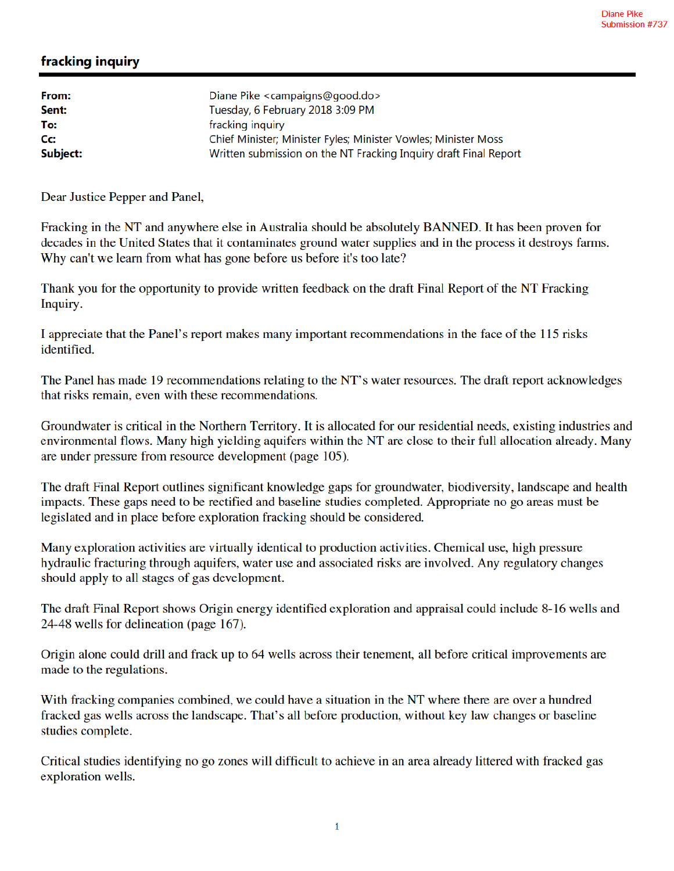## fracking inquiry

| From:    | Diane Pike <campaigns@good.do></campaigns@good.do>               |
|----------|------------------------------------------------------------------|
| Sent:    | Tuesday, 6 February 2018 3:09 PM                                 |
| To:      | fracking inquiry                                                 |
| Cc:      | Chief Minister; Minister Fyles; Minister Vowles; Minister Moss   |
| Subject: | Written submission on the NT Fracking Inquiry draft Final Report |

Dear Justice Pepper and Panel,

Fracking in the NT and anywhere else in Australia should be absolutely BANNED. It has been proven for decades in the United States that it contaminates ground water supplies and in the process it destroys farms. Why can't we learn from what has gone before us before it's too late?

Thank you for the opportunity to provide written feedback on the draft Final Report of the NT Fracking Inquiry.

I appreciate that the Panel's report makes many important recommendations in the face of the 115 risks identified.

The Panel has made 19 recommendations relating to the NT's water resources. The draft report acknowledges that risks remain, even with these recommendations.

Groundwater is critical in the Northern Territory. It is allocated for our residential needs, existing industries and environmental flows. Many high yielding aquifers within the NT are close to their full allocation already. Many are under pressure from resource development (page 105).

The draft Final Report outlines significant knowledge gaps for groundwater, biodiversity, landscape and health impacts. These gaps need to be rectified and baseline studies completed. Appropriate no go areas must be legislated and in place before exploration fracking should be considered.

Many exploration activities are virtually identical to production activities. Chemical use, high pressure hydraulic fracturing through aquifers, water use and associated risks are involved. Any regulatory changes should apply to all stages of gas development.

The draft Final Report shows Origin energy identified exploration and appraisal could include 8-16 wells and 24-48 wells for delineation (page 167).

Origin alone could drill and frack up to 64 wells across their tenement, all before critical improvements are made to the regulations.

With fracking companies combined, we could have a situation in the NT where there are over a hundred fracked gas wells across the landscape. That's all before production, without key law changes or baseline studies complete.

Critical studies identifying no go zones will difficult to achieve in an area already littered with fracked gas exploration wells.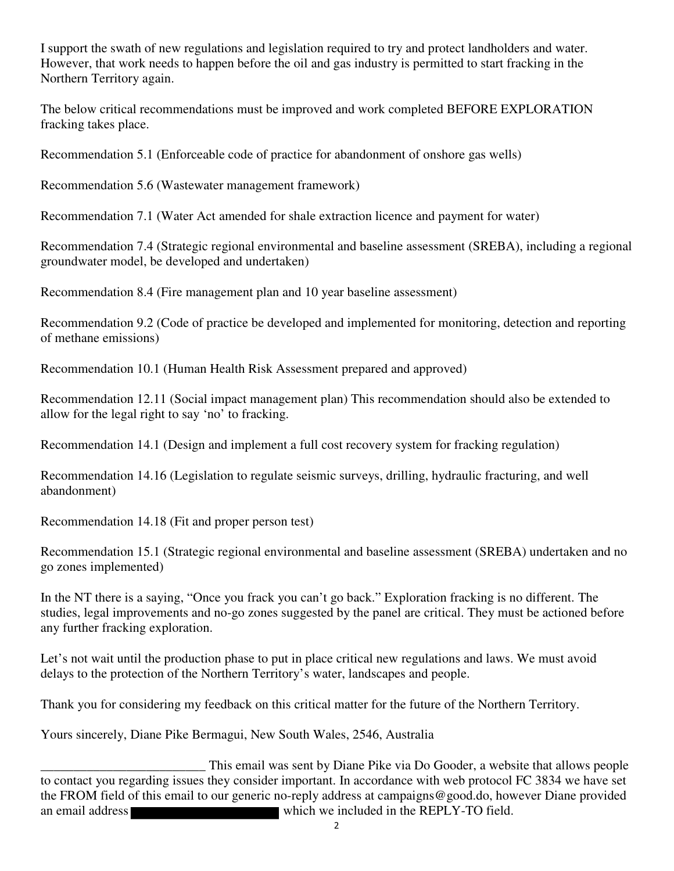I support the swath of new regulations and legislation required to try and protect landholders and water. However, that work needs to happen before the oil and gas industry is permitted to start fracking in the Northern Territory again.

The below critical recommendations must be improved and work completed BEFORE EXPLORATION fracking takes place.

Recommendation 5.1 (Enforceable code of practice for abandonment of onshore gas wells)

Recommendation 5.6 (Wastewater management framework)

Recommendation 7.1 (Water Act amended for shale extraction licence and payment for water)

Recommendation 7.4 (Strategic regional environmental and baseline assessment (SREBA), including a regional groundwater model, be developed and undertaken)

Recommendation 8.4 (Fire management plan and 10 year baseline assessment)

Recommendation 9.2 (Code of practice be developed and implemented for monitoring, detection and reporting of methane emissions)

Recommendation 10.1 (Human Health Risk Assessment prepared and approved)

Recommendation 12.11 (Social impact management plan) This recommendation should also be extended to allow for the legal right to say 'no' to fracking.

Recommendation 14.1 (Design and implement a full cost recovery system for fracking regulation)

Recommendation 14.16 (Legislation to regulate seismic surveys, drilling, hydraulic fracturing, and well abandonment)

Recommendation 14.18 (Fit and proper person test)

Recommendation 15.1 (Strategic regional environmental and baseline assessment (SREBA) undertaken and no go zones implemented)

In the NT there is a saying, "Once you frack you can't go back." Exploration fracking is no different. The studies, legal improvements and no-go zones suggested by the panel are critical. They must be actioned before any further fracking exploration.

Let's not wait until the production phase to put in place critical new regulations and laws. We must avoid delays to the protection of the Northern Territory's water, landscapes and people.

Thank you for considering my feedback on this critical matter for the future of the Northern Territory.

Yours sincerely, Diane Pike Bermagui, New South Wales, 2546, Australia

This email was sent by Diane Pike via Do Gooder, a website that allows people<br>to contact you regarding issues they consider important. In accordance with web protocol FC 3834 we have set the FROM field of this email to our generic no-reply address at campaigns@good.do, however Diane provided an email address which we included in the REPLY-TO field.